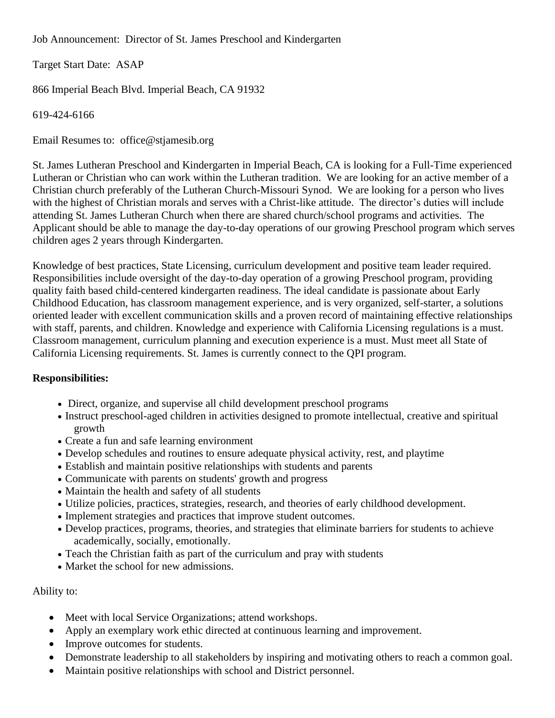Job Announcement: Director of St. James Preschool and Kindergarten

Target Start Date: ASAP

866 Imperial Beach Blvd. Imperial Beach, CA 91932

619-424-6166

Email Resumes to: office@stjamesib.org

St. James Lutheran Preschool and Kindergarten in Imperial Beach, CA is looking for a Full-Time experienced Lutheran or Christian who can work within the Lutheran tradition. We are looking for an active member of a Christian church preferably of the Lutheran Church-Missouri Synod. We are looking for a person who lives with the highest of Christian morals and serves with a Christ-like attitude. The director's duties will include attending St. James Lutheran Church when there are shared church/school programs and activities. The Applicant should be able to manage the day-to-day operations of our growing Preschool program which serves children ages 2 years through Kindergarten.

Knowledge of best practices, State Licensing, curriculum development and positive team leader required. Responsibilities include oversight of the day-to-day operation of a growing Preschool program, providing quality faith based child-centered kindergarten readiness. The ideal candidate is passionate about Early Childhood Education, has classroom management experience, and is very organized, self-starter, a solutions oriented leader with excellent communication skills and a proven record of maintaining effective relationships with staff, parents, and children. Knowledge and experience with California Licensing regulations is a must. Classroom management, curriculum planning and execution experience is a must. Must meet all State of California Licensing requirements. St. James is currently connect to the QPI program.

## **Responsibilities:**

- Direct, organize, and supervise all child development preschool programs
- Instruct preschool-aged children in activities designed to promote intellectual, creative and spiritual growth
- Create a fun and safe learning environment
- Develop schedules and routines to ensure adequate physical activity, rest, and playtime
- Establish and maintain positive relationships with students and parents
- Communicate with parents on students' growth and progress
- Maintain the health and safety of all students
- Utilize policies, practices, strategies, research, and theories of early childhood development.
- Implement strategies and practices that improve student outcomes.
- Develop practices, programs, theories, and strategies that eliminate barriers for students to achieve academically, socially, emotionally.
- Teach the Christian faith as part of the curriculum and pray with students
- Market the school for new admissions.

## Ability to:

- Meet with local Service Organizations; attend workshops.
- Apply an exemplary work ethic directed at continuous learning and improvement.
- Improve outcomes for students.
- Demonstrate leadership to all stakeholders by inspiring and motivating others to reach a common goal.
- Maintain positive relationships with school and District personnel.